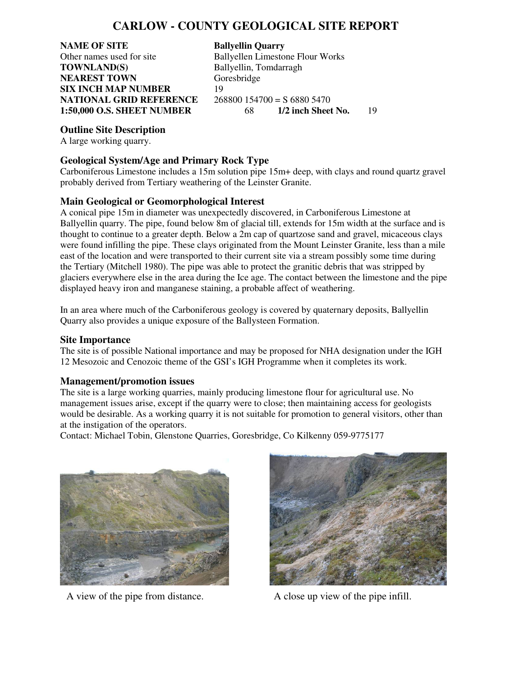# **CARLOW - COUNTY GEOLOGICAL SITE REPORT**

**NAME OF SITE Ballyellin Quarry**<br> **Discreption Change Ballyellen Limestop Ballyellen Limestop TOWNLAND(S)** Ballyellin, Tomdarragh **NEAREST TOWN** Goresbridge **SIX INCH MAP NUMBER** 19 **NATIONAL GRID REFERENCE** 268800 154700 = S 6880 5470<br>1:50,000 O.S. SHEET NUMBER 68 1/2 inch Sheet No. **1:50,000 O.S. SHEET NUMBER** 68 **1/2 inch Sheet No.** 19

Ballyellen Limestone Flour Works

## **Outline Site Description**

A large working quarry.

### **Geological System/Age and Primary Rock Type**

Carboniferous Limestone includes a 15m solution pipe 15m+ deep, with clays and round quartz gravel probably derived from Tertiary weathering of the Leinster Granite.

## **Main Geological or Geomorphological Interest**

A conical pipe 15m in diameter was unexpectedly discovered, in Carboniferous Limestone at Ballyellin quarry. The pipe, found below 8m of glacial till, extends for 15m width at the surface and is thought to continue to a greater depth. Below a 2m cap of quartzose sand and gravel, micaceous clays were found infilling the pipe. These clays originated from the Mount Leinster Granite, less than a mile east of the location and were transported to their current site via a stream possibly some time during the Tertiary (Mitchell 1980). The pipe was able to protect the granitic debris that was stripped by glaciers everywhere else in the area during the Ice age. The contact between the limestone and the pipe displayed heavy iron and manganese staining, a probable affect of weathering.

In an area where much of the Carboniferous geology is covered by quaternary deposits, Ballyellin Quarry also provides a unique exposure of the Ballysteen Formation.

#### **Site Importance**

The site is of possible National importance and may be proposed for NHA designation under the IGH 12 Mesozoic and Cenozoic theme of the GSI's IGH Programme when it completes its work.

#### **Management/promotion issues**

The site is a large working quarries, mainly producing limestone flour for agricultural use. No management issues arise, except if the quarry were to close; then maintaining access for geologists would be desirable. As a working quarry it is not suitable for promotion to general visitors, other than at the instigation of the operators.

Contact: Michael Tobin, Glenstone Quarries, Goresbridge, Co Kilkenny 059-9775177



A view of the pipe from distance. A close up view of the pipe infill.